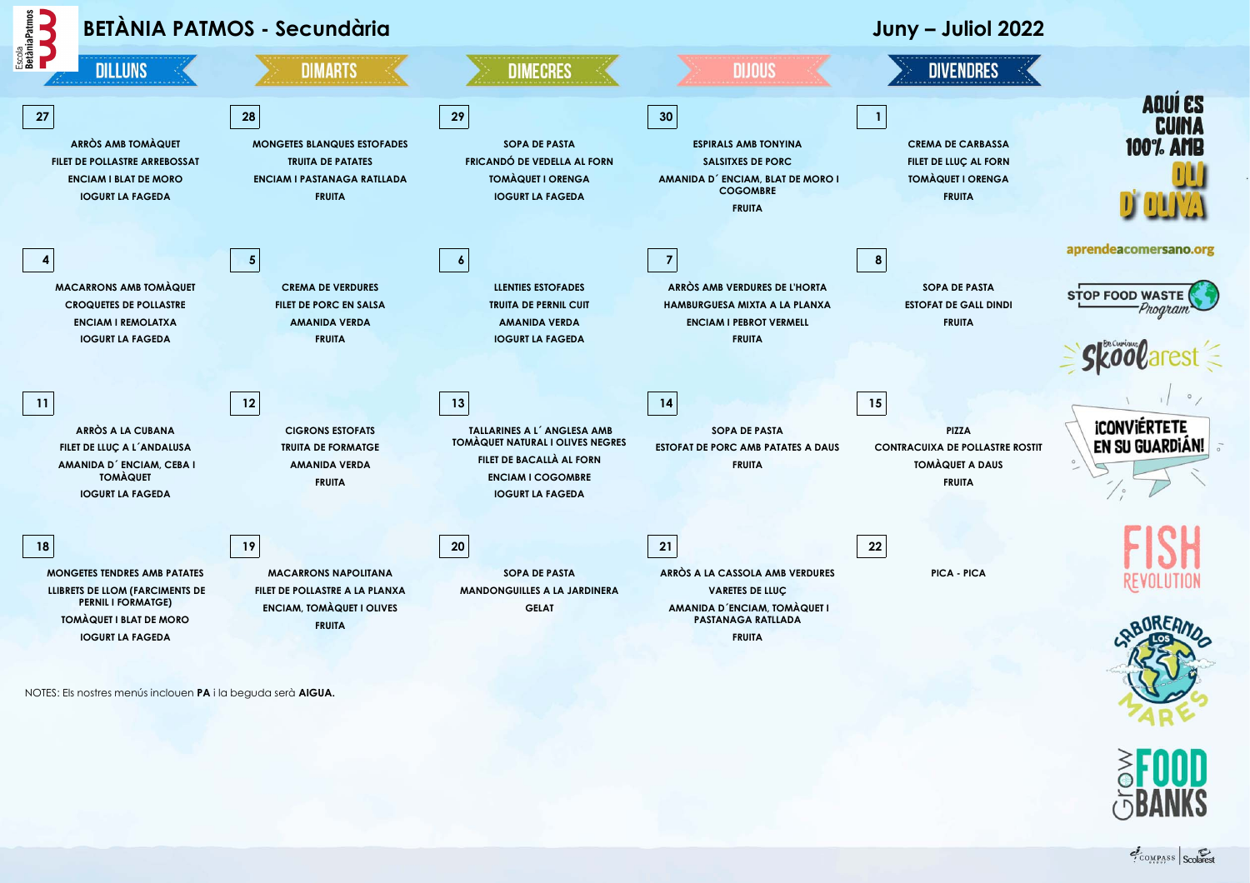

NOTES: Els nostres menús inclouen **PA** i la beguda serà **AIGUA.**